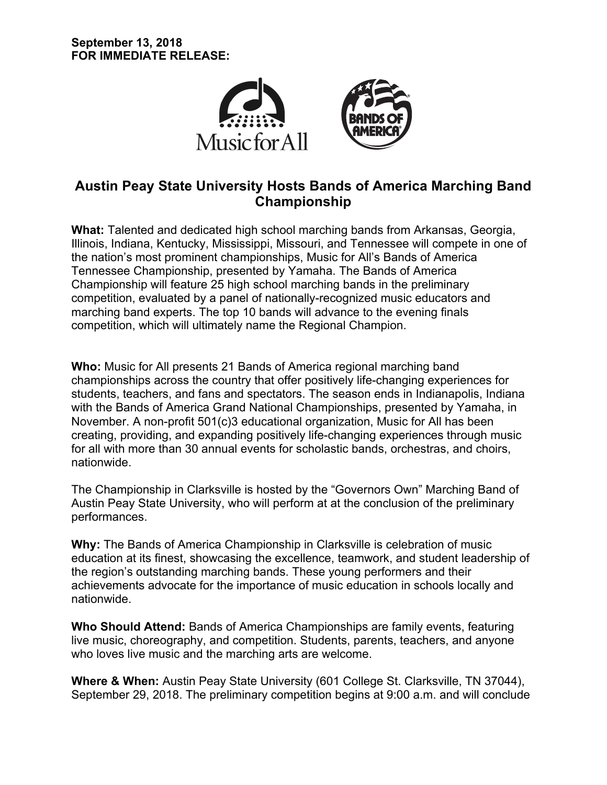

# **Austin Peay State University Hosts Bands of America Marching Band Championship**

**What:** Talented and dedicated high school marching bands from Arkansas, Georgia, Illinois, Indiana, Kentucky, Mississippi, Missouri, and Tennessee will compete in one of the nation's most prominent championships, Music for All's Bands of America Tennessee Championship, presented by Yamaha. The Bands of America Championship will feature 25 high school marching bands in the preliminary competition, evaluated by a panel of nationally-recognized music educators and marching band experts. The top 10 bands will advance to the evening finals competition, which will ultimately name the Regional Champion.

**Who:** Music for All presents 21 Bands of America regional marching band championships across the country that offer positively life-changing experiences for students, teachers, and fans and spectators. The season ends in Indianapolis, Indiana with the Bands of America Grand National Championships, presented by Yamaha, in November. A non-profit 501(c)3 educational organization, Music for All has been creating, providing, and expanding positively life-changing experiences through music for all with more than 30 annual events for scholastic bands, orchestras, and choirs, nationwide.

The Championship in Clarksville is hosted by the "Governors Own" Marching Band of Austin Peay State University, who will perform at at the conclusion of the preliminary performances.

**Why:** The Bands of America Championship in Clarksville is celebration of music education at its finest, showcasing the excellence, teamwork, and student leadership of the region's outstanding marching bands. These young performers and their achievements advocate for the importance of music education in schools locally and nationwide.

**Who Should Attend:** Bands of America Championships are family events, featuring live music, choreography, and competition. Students, parents, teachers, and anyone who loves live music and the marching arts are welcome.

**Where & When:** Austin Peay State University (601 College St. Clarksville, TN 37044), September 29, 2018. The preliminary competition begins at 9:00 a.m. and will conclude